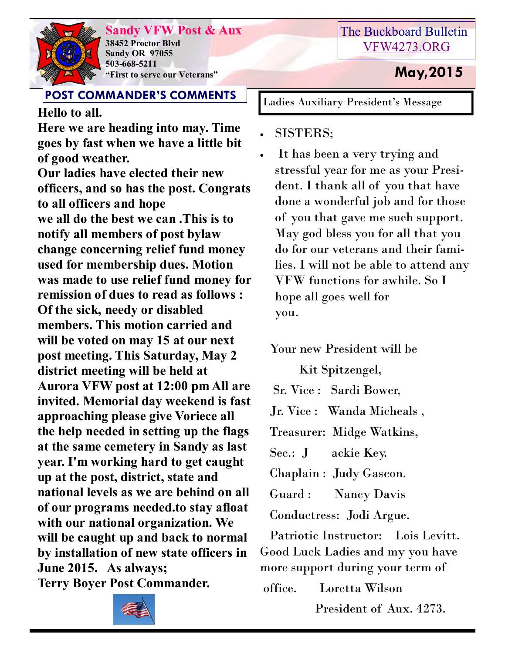

**Sandy VFW Post & Aux 38452 Proctor Blvd Sandy OR 97055 503-668-5211 "First to serve our Veterans" May,2015** 

### **POST COMMANDER'S COMMENTS**

**Hello to all.**

**Here we are heading into may. Time goes by fast when we have a little bit of good weather.**

**Our ladies have elected their new officers, and so has the post. Congrats to all officers and hope we all do the best we can .This is to notify all members of post bylaw change concerning relief fund money used for membership dues. Motion was made to use relief fund money for remission of dues to read as follows : Of the sick, needy or disabled members. This motion carried and will be voted on may 15 at our next post meeting. This Saturday, May 2 district meeting will be held at Aurora VFW post at 12:00 pm All are invited. Memorial day weekend is fast approaching please give Voriece all the help needed in setting up the flags at the same cemetery in Sandy as last year. I'm working hard to get caught up at the post, district, state and national levels as we are behind on all of our programs needed.to stay afloat with our national organization. We will be caught up and back to normal by installation of new state officers in June 2015. As always; Terry Boyer Post Commander.** 



Ladies Auxiliary President's Message

- SISTERS;
- It has been a very trying and stressful year for me as your President. I thank all of you that have done a wonderful job and for those of you that gave me such support. May god bless you for all that you do for our veterans and their families. I will not be able to attend any VFW functions for awhile. So I hope all goes well for you.

Your new President will be

Kit Spitzengel,

Sr. Vice : Sardi Bower,

Jr. Vice : Wanda Micheals ,

Treasurer: Midge Watkins,

Sec.: J ackie Key.

Chaplain : Judy Gascon.

Guard : Nancy Davis

Conductress: Jodi Argue.

 Patriotic Instructor: Lois Levitt. Good Luck Ladies and my you have more support during your term of

| office. | Loretta Wilson          |  |
|---------|-------------------------|--|
|         | President of Aux. 4273. |  |

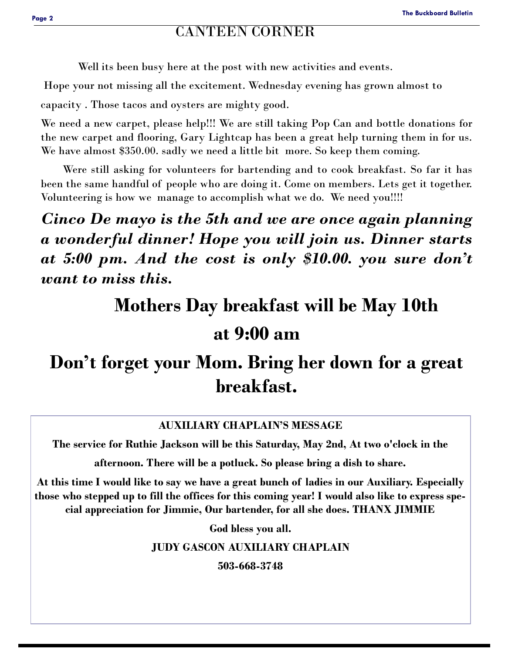#### CANTEEN CORNER

Well its been busy here at the post with new activities and events.

Hope your not missing all the excitement. Wednesday evening has grown almost to

capacity . Those tacos and oysters are mighty good.

We need a new carpet, please help!!! We are still taking Pop Can and bottle donations for the new carpet and flooring, Gary Lightcap has been a great help turning them in for us. We have almost \$350.00. sadly we need a little bit more. So keep them coming.

 Were still asking for volunteers for bartending and to cook breakfast. So far it has been the same handful of people who are doing it. Come on members. Lets get it together. Volunteering is how we manage to accomplish what we do. We need you!!!!

*Cinco De mayo is the 5th and we are once again planning a wonderful dinner! Hope you will join us. Dinner starts at 5:00 pm. And the cost is only \$10.00. you sure don't want to miss this.* 

# **Mothers Day breakfast will be May 10th**

# **at 9:00 am**

# **Don't forget your Mom. Bring her down for a great breakfast.**

#### **AUXILIARY CHAPLAIN'S MESSAGE**

**The service for Ruthie Jackson will be this Saturday, May 2nd, At two o'clock in the** 

**afternoon. There will be a potluck. So please bring a dish to share.**

**At this time I would like to say we have a great bunch of ladies in our Auxiliary. Especially those who stepped up to fill the offices for this coming year! I would also like to express special appreciation for Jimmie, Our bartender, for all she does. THANX JIMMIE**

**God bless you all.**

**JUDY GASCON AUXILIARY CHAPLAIN**

**503-668-3748**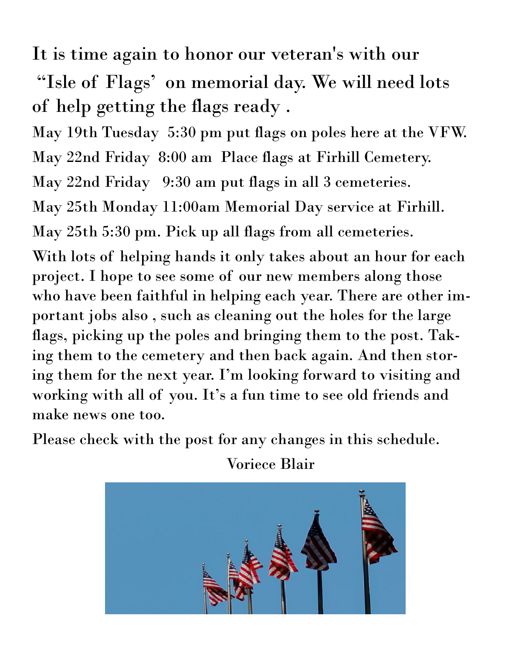It is time again to honor our veteran's with our

"Isle of Flags' on memorial day. We will need lots of help getting the flags ready .

May 19th Tuesday 5:30 pm put flags on poles here at the VFW.

May 22nd Friday 8:00 am Place flags at Firhill Cemetery.

May 22nd Friday 9:30 am put flags in all 3 cemeteries.

May 25th Monday 11:00am Memorial Day service at Firhill.

May 25th 5:30 pm. Pick up all flags from all cemeteries.

With lots of helping hands it only takes about an hour for each project. I hope to see some of our new members along those who have been faithful in helping each year. There are other important jobs also , such as cleaning out the holes for the large flags, picking up the poles and bringing them to the post. Taking them to the cemetery and then back again. And then storing them for the next year. I'm looking forward to visiting and working with all of you. It's a fun time to see old friends and make news one too.

Please check with the post for any changes in this schedule.

Voriece Blair

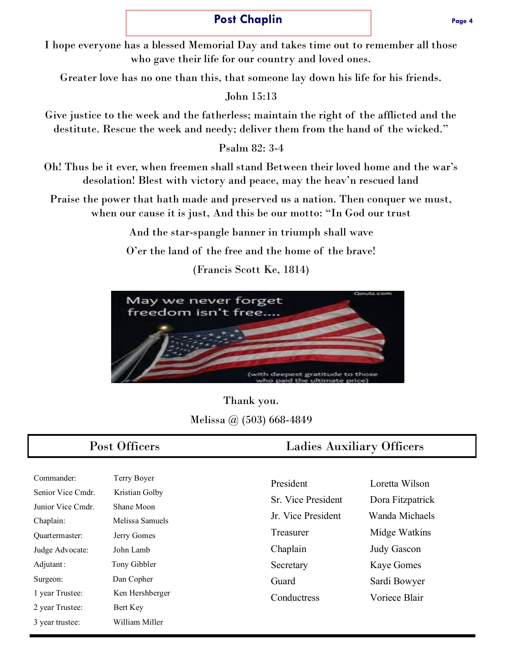#### **Post Chaplin Post Chaplin Page 4**

I hope everyone has a blessed Memorial Day and takes time out to remember all those who gave their life for our country and loved ones.

Greater love has no one than this, that someone lay down his life for his friends.

John 15:13

Give justice to the week and the fatherless; maintain the right of the afflicted and the destitute. Rescue the week and needy; deliver them from the hand of the wicked."

Psalm 82: 3-4

Oh! Thus be it ever, when freemen shall stand Between their loved home and the war's desolation! Blest with victory and peace, may the heav'n rescued land

Praise the power that hath made and preserved us a nation. Then conquer we must, when our cause it is just, And this be our motto: "In God our trust

And the star-spangle banner in triumph shall wave

O'er the land of the free and the home of the brave!

(Francis Scott Ke, 1814)



Thank you. Melissa @ (503) 668-4849

| Commander:        | Terry Boyer     |
|-------------------|-----------------|
| Senior Vice Cmdr. | Kristian Golby  |
| Junior Vice Cmdr. | Shane Moon      |
| Chaplain:         | Melissa Samuels |
| Ouartermaster:    | Jerry Gomes     |
| Judge Advocate:   | John Lamb       |
| Adjutant:         | Tony Gibbler    |
| Surgeon:          | Dan Copher      |
| 1 year Trustee:   | Ken Hershberger |
| 2 year Trustee:   | Bert Key        |
| 3 vear trustee:   | William Miller  |

#### Post Officers Ladies Auxiliary Officers

| Loretta Wilson     |
|--------------------|
| Dora Fitzpatrick   |
| Wanda Michaels     |
| Midge Watkins      |
| <b>Judy Gascon</b> |
| <b>Kaye Gomes</b>  |
| Sardi Bowyer       |
| Voriece Blair      |
|                    |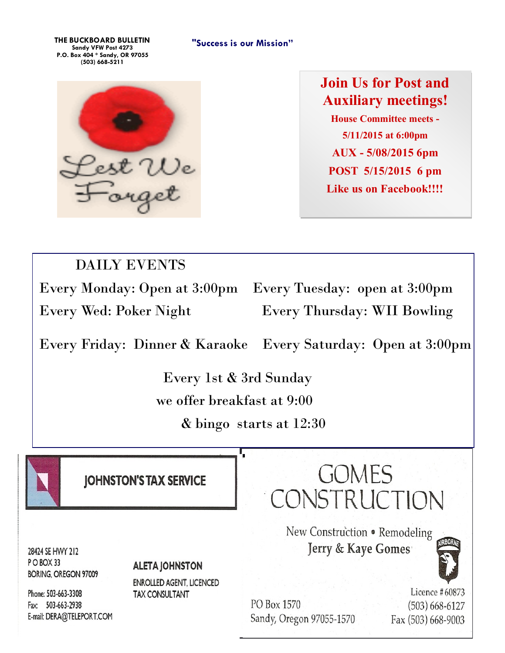**"Success is our Mission" THE BUCKBOARD BULLETIN Sandy VFW Post 4273 P.O. Box 404 \* Sandy, OR 97055 (503) 668-5211**



**Join Us for Post and Auxiliary meetings! House Committee meets - 5/11/2015 at 6:00pm AUX - 5/08/2015 6pm POST 5/15/2015 6 pm Like us on Facebook!!!!**

## DAILY EVENTS

Every Monday: Open at 3:00pm Every Tuesday: open at 3:00pm Every Wed: Poker Night Every Thursday: WII Bowling

Every Friday: Dinner & Karaoke Every Saturday: Open at 3:00pm

 Every 1st & 3rd Sunday we offer breakfast at 9:00

& bingo starts at 12:30



**JOHNSTON'S TAX SERVICE** 

**GOMES** CONSTRUCTION

> New Construction . Remodeling Jerry & Kaye Gomes



Licence #60873 (503) 668-6127 Fax (503) 668-9003

28424 SE HWY 212 PO BOX 33 **BORING, OREGON 97009** 

#### **ALETA JOHNSTON**

**ENROLLED AGENT, LICENCED TAX CONSULTANT** 

Phone: 503-663-3308 Fax: 503-663-2938 E-mail: DERA@TELEPORT.COM

PO Box 1570 Sandy, Oregon 97055-1570